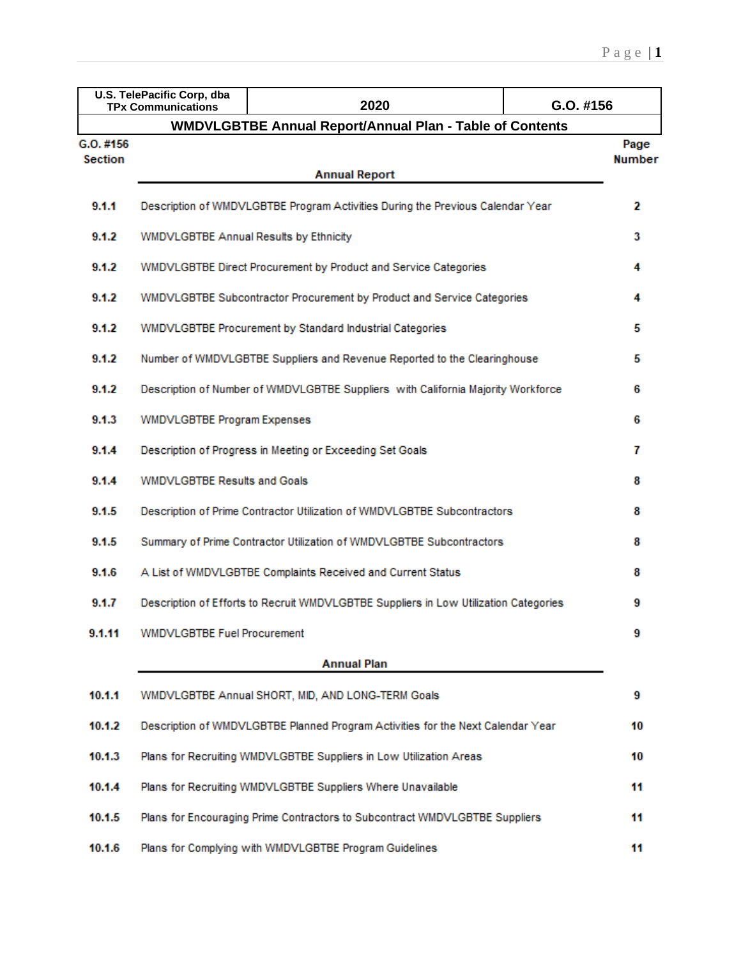|           | U.S. TelePacific Corp, dba<br><b>TPx Communications</b> | 2020                                                                                 | G.O. #156     |  |  |  |  |  |  |
|-----------|---------------------------------------------------------|--------------------------------------------------------------------------------------|---------------|--|--|--|--|--|--|
|           |                                                         | <b>WMDVLGBTBE Annual Report/Annual Plan - Table of Contents</b>                      |               |  |  |  |  |  |  |
| G.O. #156 |                                                         |                                                                                      | Page          |  |  |  |  |  |  |
| Section   |                                                         | <b>Annual Report</b>                                                                 | <b>Number</b> |  |  |  |  |  |  |
|           |                                                         |                                                                                      |               |  |  |  |  |  |  |
| 9.1.1     |                                                         | Description of WMDVLGBTBE Program Activities During the Previous Calendar Year       | 2             |  |  |  |  |  |  |
| 9.1.2     | WMDVLGBTBE Annual Results by Ethnicity                  |                                                                                      |               |  |  |  |  |  |  |
| 9.1.2     |                                                         | WMDVLGBTBE Direct Procurement by Product and Service Categories                      |               |  |  |  |  |  |  |
| 9.1.2     |                                                         | WMDVLGBTBE Subcontractor Procurement by Product and Service Categories               | 4             |  |  |  |  |  |  |
| 9.1.2     |                                                         | WMDVLGBTBE Procurement by Standard Industrial Categories                             | 5             |  |  |  |  |  |  |
| 9.1.2     |                                                         | Number of WMDVLGBTBE Suppliers and Revenue Reported to the Clearinghouse             | 5             |  |  |  |  |  |  |
| 9.1.2     |                                                         | Description of Number of WMDVLGBTBE Suppliers with California Majority Workforce     | 6             |  |  |  |  |  |  |
| 9.1.3     | <b>WMDVLGBTBE Program Expenses</b>                      |                                                                                      | 6             |  |  |  |  |  |  |
| 9.1.4     |                                                         | Description of Progress in Meeting or Exceeding Set Goals                            | 7             |  |  |  |  |  |  |
| 9.1.4     | <b>WMDVLGBTBE Results and Goals</b>                     |                                                                                      | 8             |  |  |  |  |  |  |
| 9.1.5     |                                                         | Description of Prime Contractor Utilization of WMDVLGBTBE Subcontractors             | 8             |  |  |  |  |  |  |
| 9.1.5     |                                                         | Summary of Prime Contractor Utilization of WMDVLGBTBE Subcontractors                 | 8             |  |  |  |  |  |  |
| 9.1.6     |                                                         | A List of WMDVLGBTBE Complaints Received and Current Status                          | 8             |  |  |  |  |  |  |
| 9.1.7     |                                                         | Description of Efforts to Recruit WMDVLGBTBE Suppliers in Low Utilization Categories | 9             |  |  |  |  |  |  |
| 9.1.11    | <b>WMDVLGBTBE Fuel Procurement</b>                      |                                                                                      | 9             |  |  |  |  |  |  |
|           |                                                         | <b>Annual Plan</b>                                                                   |               |  |  |  |  |  |  |
| 10.1.1    |                                                         | WMDVLGBTBE Annual SHORT, MID, AND LONG-TERM Goals                                    | 9             |  |  |  |  |  |  |
| 10.1.2    |                                                         | Description of WMDVLGBTBE Planned Program Activities for the Next Calendar Year      | 10            |  |  |  |  |  |  |
| 10.1.3    |                                                         | Plans for Recruiting WMDVLGBTBE Suppliers in Low Utilization Areas                   | 10            |  |  |  |  |  |  |
| 10.1.4    |                                                         | Plans for Recruiting WMDVLGBTBE Suppliers Where Unavailable                          | 11            |  |  |  |  |  |  |
| 10.1.5    |                                                         | Plans for Encouraging Prime Contractors to Subcontract WMDVLGBTBE Suppliers          | 11            |  |  |  |  |  |  |
| 10.1.6    |                                                         | Plans for Complying with WMDVLGBTBE Program Guidelines                               | 11            |  |  |  |  |  |  |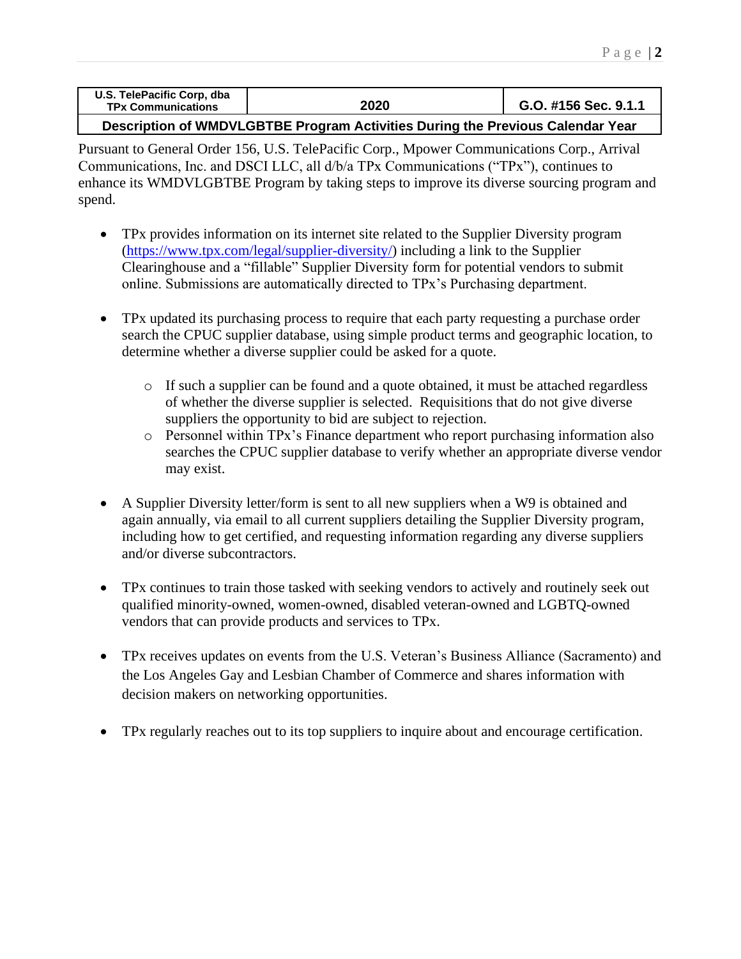| U.S. TelePacific Corp, dba |      |                      |
|----------------------------|------|----------------------|
| <b>TPx Communications</b>  | 2020 | G.O. #156 Sec. 9.1.1 |
|                            |      |                      |

## **Description of WMDVLGBTBE Program Activities During the Previous Calendar Year**

Pursuant to General Order 156, U.S. TelePacific Corp., Mpower Communications Corp., Arrival Communications, Inc. and DSCI LLC, all d/b/a TPx Communications ("TPx"), continues to enhance its WMDVLGBTBE Program by taking steps to improve its diverse sourcing program and spend.

- TPx provides information on its internet site related to the Supplier Diversity program [\(https://www.tpx.com/legal/supplier-diversity/\)](https://www.tpx.com/legal/supplier-diversity/) including a link to the Supplier Clearinghouse and a "fillable" Supplier Diversity form for potential vendors to submit online. Submissions are automatically directed to TPx's Purchasing department.
- TPx updated its purchasing process to require that each party requesting a purchase order search the CPUC supplier database, using simple product terms and geographic location, to determine whether a diverse supplier could be asked for a quote.
	- o If such a supplier can be found and a quote obtained, it must be attached regardless of whether the diverse supplier is selected. Requisitions that do not give diverse suppliers the opportunity to bid are subject to rejection.
	- o Personnel within TPx's Finance department who report purchasing information also searches the CPUC supplier database to verify whether an appropriate diverse vendor may exist.
- A Supplier Diversity letter/form is sent to all new suppliers when a W9 is obtained and again annually, via email to all current suppliers detailing the Supplier Diversity program, including how to get certified, and requesting information regarding any diverse suppliers and/or diverse subcontractors.
- TPx continues to train those tasked with seeking vendors to actively and routinely seek out qualified minority-owned, women-owned, disabled veteran-owned and LGBTQ-owned vendors that can provide products and services to TPx.
- TPx receives updates on events from the U.S. Veteran's Business Alliance (Sacramento) and the Los Angeles Gay and Lesbian Chamber of Commerce and shares information with decision makers on networking opportunities.
- TPx regularly reaches out to its top suppliers to inquire about and encourage certification.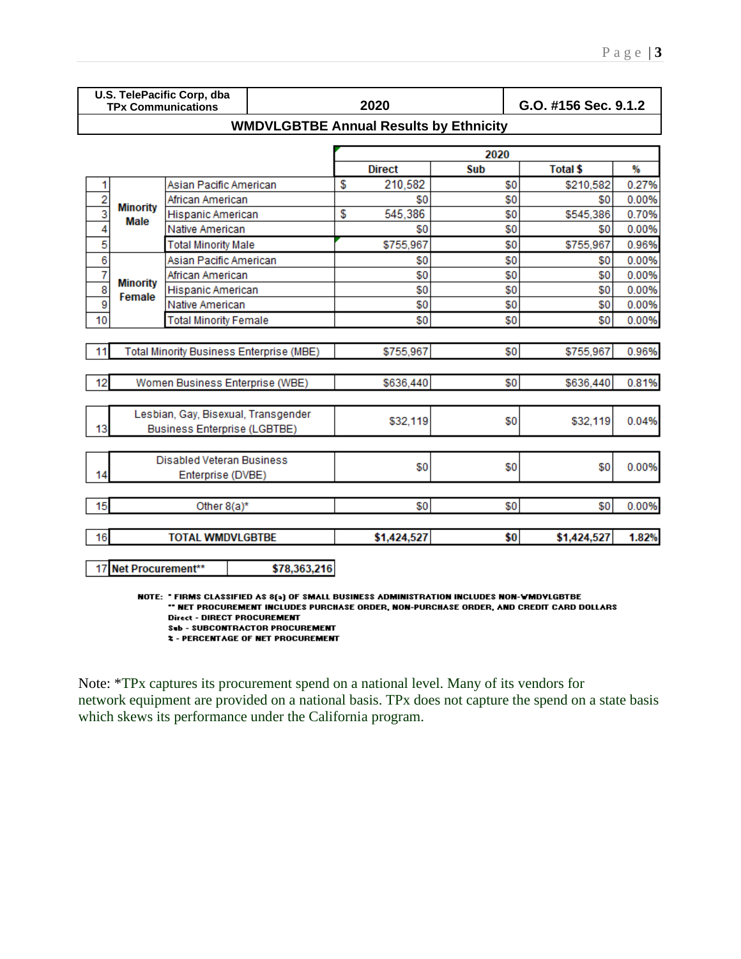|                                  |                                                       | U.S. TelePacific Corp, dba<br><b>TPx Communications</b>                    |                                               |    | 2020        |      | G.O. #156 Sec. 9.1.2 |       |  |  |  |  |
|----------------------------------|-------------------------------------------------------|----------------------------------------------------------------------------|-----------------------------------------------|----|-------------|------|----------------------|-------|--|--|--|--|
|                                  |                                                       |                                                                            | <b>WMDVLGBTBE Annual Results by Ethnicity</b> |    |             |      |                      |       |  |  |  |  |
|                                  |                                                       |                                                                            |                                               |    |             | 2020 |                      |       |  |  |  |  |
| <b>Direct</b><br>Total \$<br>Sub |                                                       |                                                                            |                                               |    |             |      |                      |       |  |  |  |  |
| 1                                |                                                       | Asian Pacific American                                                     |                                               | S  | 210,582     | \$0  | \$210,582            | 0.27% |  |  |  |  |
|                                  |                                                       | African American                                                           |                                               |    | \$0         | \$0  | \$0                  | 0.00% |  |  |  |  |
| $\frac{2}{3}$                    | <b>Minority</b>                                       | Hispanic American                                                          |                                               | \$ | 545,386     | \$0  | \$545,386            | 0.70% |  |  |  |  |
| 4                                | Male                                                  | Native American                                                            |                                               |    | \$0         | \$0  | \$0                  | 0.00% |  |  |  |  |
| 5                                |                                                       | <b>Total Minority Male</b>                                                 |                                               |    | \$755,967   | \$0  | \$755,967            | 0.96% |  |  |  |  |
| 6                                |                                                       | Asian Pacific American                                                     |                                               |    | \$0         | \$0  | \$0                  | 0.00% |  |  |  |  |
| 7                                |                                                       | African American                                                           |                                               |    | \$0         | \$0  | \$0                  | 0.00% |  |  |  |  |
| $\overline{\mathbf{8}}$          | <b>Minority</b>                                       | Hispanic American                                                          |                                               |    | \$0         | \$0  | \$0                  | 0.00% |  |  |  |  |
| 9                                | Female                                                | Native American                                                            |                                               |    | \$0         | \$0  | \$0                  | 0.00% |  |  |  |  |
| 10                               |                                                       | <b>Total Minority Female</b>                                               |                                               |    | \$0         | \$0  | \$0                  | 0.00% |  |  |  |  |
| 11                               |                                                       | Total Minority Business Enterprise (MBE)                                   |                                               |    | \$755,967   | \$0  | \$755,967            | 0.96% |  |  |  |  |
|                                  |                                                       |                                                                            |                                               |    |             |      |                      |       |  |  |  |  |
| 12                               |                                                       | Women Business Enterprise (WBE)                                            |                                               |    | \$636,440   | \$0  | \$636,440<br>0.81%   |       |  |  |  |  |
| 13                               |                                                       | Lesbian, Gay, Bisexual, Transgender<br><b>Business Enterprise (LGBTBE)</b> |                                               |    | \$32,119    | \$0  | \$32,119             | 0.04% |  |  |  |  |
| 14                               | <b>Disabled Veteran Business</b><br>Enterprise (DVBE) |                                                                            |                                               |    | \$0         | \$0  | \$0                  | 0.00% |  |  |  |  |
| 15                               |                                                       | Other 8(a)*                                                                |                                               |    | \$0         | \$0  | \$0                  | 0.00% |  |  |  |  |
| 16                               |                                                       | <b>TOTAL WMDVLGBTBE</b>                                                    |                                               |    | \$1,424,527 | \$0  | \$1,424,527          | 1.82% |  |  |  |  |
|                                  | 17 Net Procurement**                                  |                                                                            | \$78,363,216                                  |    |             |      |                      |       |  |  |  |  |

NOTE: "FIRMS CLASSIFIED AS 8(a) OF SMALL BUSINESS ADMINISTRATION INCLUDES NON-WMDVLGBTBE \*\* NET PROCUREMENT INCLUDES PURCHASE ORDER, NON-PURCHASE ORDER, AND CREDIT CARD DOLLARS **Direct - DIRECT PROCUREMENT** Sub - SUBCONTRACTOR PROCUREMENT

**2 - PERCENTAGE OF NET PROCUREMENT** 

Note: \*TPx captures its procurement spend on a national level. Many of its vendors for network equipment are provided on a national basis. TPx does not capture the spend on a state basis which skews its performance under the California program.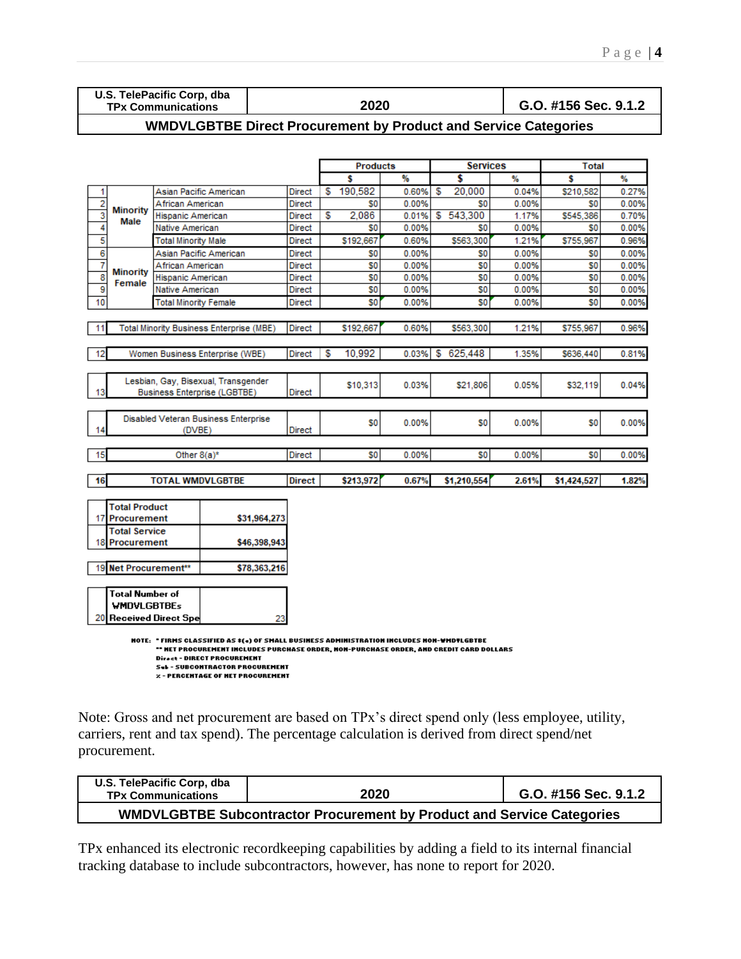| U.S. TelePacific Corp, dba |      |                      |
|----------------------------|------|----------------------|
| <b>TPx Communications</b>  | 2020 | G.O. #156 Sec. 9.1.2 |

# **WMDVLGBTBE Direct Procurement by Product and Service Categories**

|                         |                                                                                                                                                                                                                                                                                                     |                              |                                                 |               |    | <b>Products</b> |       |    | <b>Services</b> |       | <b>Total</b>   |       |  |  |  |
|-------------------------|-----------------------------------------------------------------------------------------------------------------------------------------------------------------------------------------------------------------------------------------------------------------------------------------------------|------------------------------|-------------------------------------------------|---------------|----|-----------------|-------|----|-----------------|-------|----------------|-------|--|--|--|
|                         |                                                                                                                                                                                                                                                                                                     |                              |                                                 |               |    | s               | %     |    | \$              | %     | Ŝ              | %     |  |  |  |
| 1                       |                                                                                                                                                                                                                                                                                                     |                              | Asian Pacific American                          | <b>Direct</b> | S  | 190,582         | 0.60% | S  | 20,000          | 0.04% | \$210,582      | 0.27% |  |  |  |
| 2                       |                                                                                                                                                                                                                                                                                                     | African American             |                                                 | Direct        |    | S0              | 0.00% |    | S <sub>0</sub>  | 0.00% | S0             | 0.00% |  |  |  |
| 3                       | <b>Minority</b><br>Male                                                                                                                                                                                                                                                                             | Hispanic American            |                                                 | Direct        | S  | 2.086           | 0.01% | \$ | 543.300         | 1.17% | \$545,386      | 0.70% |  |  |  |
| 4                       |                                                                                                                                                                                                                                                                                                     | Native American              |                                                 |               |    | S0              | 0.00% |    | S <sub>0</sub>  | 0.00% | S0             | 0.00% |  |  |  |
| 5                       |                                                                                                                                                                                                                                                                                                     | <b>Total Minority Male</b>   |                                                 | Direct        |    | \$192.667       | 0.60% |    | \$563,300       | 1.21% | \$755.967      | 0.96% |  |  |  |
| $\overline{6}$          |                                                                                                                                                                                                                                                                                                     |                              | Asian Pacific American                          | Direct        |    | SO              | 0.00% |    | SO.             | 0.00% | S <sub>0</sub> | 0.00% |  |  |  |
| 7                       |                                                                                                                                                                                                                                                                                                     | African American             |                                                 | <b>Direct</b> |    | SO.             | 0.00% |    | \$0             | 0.00% | S0             | 0.00% |  |  |  |
| $\overline{\mathbf{8}}$ | <b>Minority</b><br>Female                                                                                                                                                                                                                                                                           | Hispanic American            |                                                 | Direct        |    | S0              | 0.00% |    | S <sub>0</sub>  | 0.00% | S <sub>0</sub> | 0.00% |  |  |  |
| 9                       |                                                                                                                                                                                                                                                                                                     | Native American              |                                                 | <b>Direct</b> |    | SO              | 0.00% |    | SO              | 0.00% | S0             | 0.00% |  |  |  |
| 10                      |                                                                                                                                                                                                                                                                                                     | <b>Total Minority Female</b> |                                                 | <b>Direct</b> |    | SO              | 0.00% |    | S <sub>0</sub>  | 0.00% | S <sub>0</sub> | 0.00% |  |  |  |
|                         |                                                                                                                                                                                                                                                                                                     |                              |                                                 |               |    |                 |       |    |                 |       |                |       |  |  |  |
| 11                      |                                                                                                                                                                                                                                                                                                     |                              | <b>Total Minority Business Enterprise (MBE)</b> | <b>Direct</b> |    | \$192,667       | 0.60% |    | \$563,300       | 1.21% | \$755,967      | 0.96% |  |  |  |
|                         |                                                                                                                                                                                                                                                                                                     |                              |                                                 |               |    |                 |       |    |                 |       |                |       |  |  |  |
| 12                      |                                                                                                                                                                                                                                                                                                     |                              | Women Business Enterprise (WBE)                 | <b>Direct</b> | \$ | 10,992          | 0.03% | \$ | 625.448         | 1.35% | \$636,440      | 0.81% |  |  |  |
|                         |                                                                                                                                                                                                                                                                                                     |                              |                                                 |               |    |                 |       |    |                 |       |                |       |  |  |  |
|                         |                                                                                                                                                                                                                                                                                                     |                              | Lesbian, Gay, Bisexual, Transgender             |               |    |                 | 0.03% |    |                 | 0.05% |                |       |  |  |  |
| 13                      |                                                                                                                                                                                                                                                                                                     |                              | <b>Business Enterprise (LGBTBE)</b>             | Direct        |    | \$10,313        |       |    | \$21,806        |       | \$32,119       | 0.04% |  |  |  |
|                         |                                                                                                                                                                                                                                                                                                     |                              |                                                 |               |    |                 |       |    |                 |       |                |       |  |  |  |
|                         |                                                                                                                                                                                                                                                                                                     |                              | Disabled Veteran Business Enterprise            |               |    | S0              | 0.00% |    | S <sub>0</sub>  | 0.00% | \$O            | 0.00% |  |  |  |
| 14                      |                                                                                                                                                                                                                                                                                                     | (DVBE)                       |                                                 | <b>Direct</b> |    |                 |       |    |                 |       |                |       |  |  |  |
|                         |                                                                                                                                                                                                                                                                                                     |                              |                                                 |               |    |                 |       |    |                 |       |                |       |  |  |  |
| 15                      |                                                                                                                                                                                                                                                                                                     | Other $8(a)^*$               |                                                 | <b>Direct</b> |    | S0              | 0.00% |    | S0              | 0.00% | S <sub>0</sub> | 0.00% |  |  |  |
|                         |                                                                                                                                                                                                                                                                                                     |                              |                                                 |               |    |                 |       |    |                 |       |                |       |  |  |  |
| 16                      |                                                                                                                                                                                                                                                                                                     | <b>TOTAL WMDVLGBTBE</b>      |                                                 | Direct        |    | \$213,972       | 0.67% |    | \$1,210,554     | 2.61% | \$1,424,527    | 1.82% |  |  |  |
|                         |                                                                                                                                                                                                                                                                                                     |                              |                                                 |               |    |                 |       |    |                 |       |                |       |  |  |  |
|                         | <b>Total Product</b>                                                                                                                                                                                                                                                                                |                              |                                                 |               |    |                 |       |    |                 |       |                |       |  |  |  |
| 17                      | <b>Procurement</b>                                                                                                                                                                                                                                                                                  |                              | \$31,964,273                                    |               |    |                 |       |    |                 |       |                |       |  |  |  |
|                         | <b>Total Service</b>                                                                                                                                                                                                                                                                                |                              |                                                 |               |    |                 |       |    |                 |       |                |       |  |  |  |
| 18                      | <b>Procurement</b>                                                                                                                                                                                                                                                                                  |                              | \$46,398,943                                    |               |    |                 |       |    |                 |       |                |       |  |  |  |
|                         |                                                                                                                                                                                                                                                                                                     |                              |                                                 |               |    |                 |       |    |                 |       |                |       |  |  |  |
| 19                      | Net Procurement**                                                                                                                                                                                                                                                                                   |                              | \$78,363,216                                    |               |    |                 |       |    |                 |       |                |       |  |  |  |
|                         |                                                                                                                                                                                                                                                                                                     |                              |                                                 |               |    |                 |       |    |                 |       |                |       |  |  |  |
|                         | Total Number of                                                                                                                                                                                                                                                                                     |                              |                                                 |               |    |                 |       |    |                 |       |                |       |  |  |  |
|                         | <b>WMDVLGBTBEs</b>                                                                                                                                                                                                                                                                                  |                              |                                                 |               |    |                 |       |    |                 |       |                |       |  |  |  |
| 20                      |                                                                                                                                                                                                                                                                                                     | Received Direct Spe          | 23                                              |               |    |                 |       |    |                 |       |                |       |  |  |  |
|                         | NOTE: "FIRMS CLASSIFIED AS ‡(«) OF SMALL BUSINESS ADMINISTRATION INCLUDES NON-WMDYLGBTBE<br>" HET PROCUREMENT INCLUDES PURCHASE ORDER, NON-PURCHASE ORDER, AND CREDIT CARD DOLLARS<br>Direct - DIRECT PROCUREMENT<br><b>Sel-SUBCONTRACTOR PROCUREMENT</b><br><b>Z-PERCENTAGE OF NET PROCUREMENT</b> |                              |                                                 |               |    |                 |       |    |                 |       |                |       |  |  |  |

Note: Gross and net procurement are based on TPx's direct spend only (less employee, utility, carriers, rent and tax spend). The percentage calculation is derived from direct spend/net procurement.

| U.S. TelePacific Corp. dba<br><b>TPx Communications</b> | 2020                                                                          | G.O. #156 Sec. 9.1.2 |
|---------------------------------------------------------|-------------------------------------------------------------------------------|----------------------|
|                                                         | <b>WMDVLGBTBE Subcontractor Procurement by Product and Service Categories</b> |                      |

TPx enhanced its electronic recordkeeping capabilities by adding a field to its internal financial tracking database to include subcontractors, however, has none to report for 2020.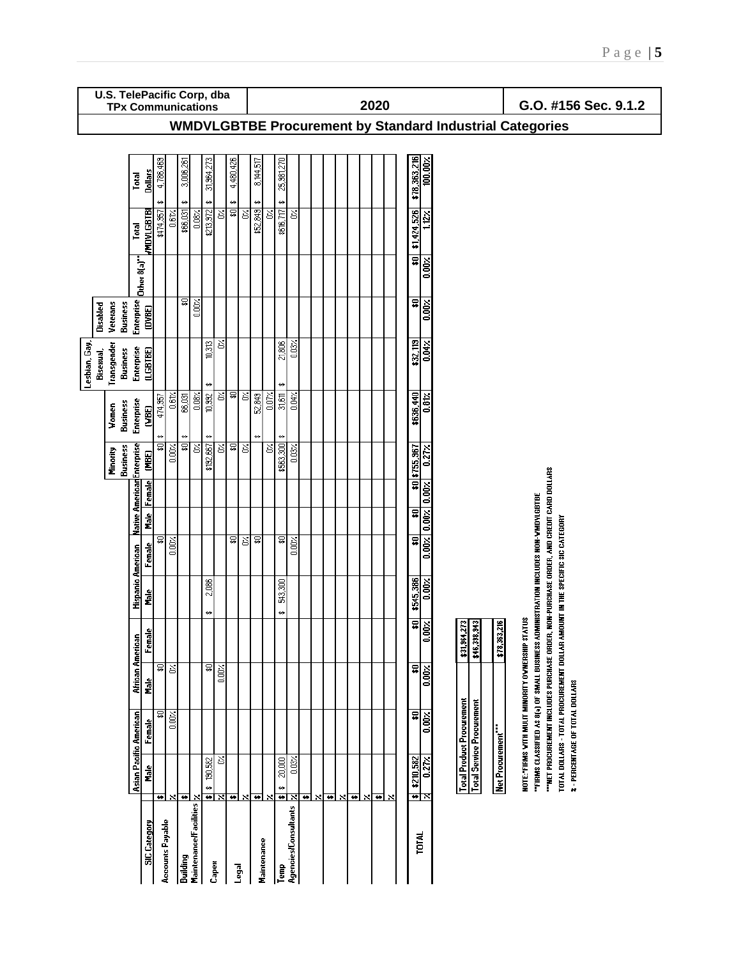|               |           | U.S. TelePacific Corp, dba<br><b>TPx Communications</b> |                            |                     |                       |                 |                                  |                                             |                |                 |           |                           |                         |       |                  |                        |   |                           |                         |     |                       | 2020                    |                           |                         |                            |                                                          |                                  |                                  |                   |                                                  |                                                                                                                                           |                                                                              |                                 | G.O. #156 Sec. 9.1.2 |  |  |
|---------------|-----------|---------------------------------------------------------|----------------------------|---------------------|-----------------------|-----------------|----------------------------------|---------------------------------------------|----------------|-----------------|-----------|---------------------------|-------------------------|-------|------------------|------------------------|---|---------------------------|-------------------------|-----|-----------------------|-------------------------|---------------------------|-------------------------|----------------------------|----------------------------------------------------------|----------------------------------|----------------------------------|-------------------|--------------------------------------------------|-------------------------------------------------------------------------------------------------------------------------------------------|------------------------------------------------------------------------------|---------------------------------|----------------------|--|--|
|               |           |                                                         |                            |                     |                       |                 |                                  |                                             |                |                 |           |                           |                         |       |                  |                        |   |                           |                         |     |                       |                         |                           |                         |                            | WMDVLGBTBE Procurement by Standard Industrial Categories |                                  |                                  |                   |                                                  |                                                                                                                                           |                                                                              |                                 |                      |  |  |
|               |           |                                                         | Total                      | <b>Dollars</b>      | 4,786,469             |                 | 3,006,261                        |                                             | 31,964,273     |                 | 4,480,426 |                           | 8,144,517               |       | 25,981,270       |                        |   |                           |                         |     |                       |                         |                           | \$78,363,216            | 100.00%                    |                                                          |                                  |                                  |                   |                                                  |                                                                                                                                           |                                                                              |                                 |                      |  |  |
|               |           |                                                         | Total                      | <b>MDVLGBTBI</b>    | \$474,957             | 0.61            | ↮<br>\$66,031                    | $0.08\%$                                    | ↮<br>\$213,972 | Š               | ↮<br>च्च  | $\overline{\mathcal{E}}$  | ↮<br>\$52,849           | Š     | ↮<br>\$616,717   | Š                      |   |                           |                         |     |                       |                         |                           | \$1,424,526             | $112 \times$               |                                                          |                                  |                                  |                   |                                                  |                                                                                                                                           |                                                                              |                                 |                      |  |  |
|               |           |                                                         | Other 8(a)                 |                     |                       |                 |                                  |                                             |                |                 |           |                           |                         |       |                  |                        |   |                           |                         |     |                       |                         |                           | $\overline{\mathbf{a}}$ | 0.00%                      |                                                          |                                  |                                  |                   |                                                  |                                                                                                                                           |                                                                              |                                 |                      |  |  |
|               | Disabled  | Veterans<br><b>Business</b>                             | Enterprise                 | (DVBE)              |                       |                 | ङ्क                              | $\gtrapprox$                                |                |                 |           |                           |                         |       |                  |                        |   |                           |                         |     |                       |                         |                           | $\overline{\bullet}$    | 0.00%                      |                                                          |                                  |                                  |                   |                                                  |                                                                                                                                           |                                                                              |                                 |                      |  |  |
| Lesbian, Gay, | Bisexual, | Transgender<br><b>Business</b>                          | Enterprise                 | (LGBTBE)            |                       |                 |                                  |                                             | 0,313          | త               |           |                           |                         |       | 21,806           | 0.03%                  |   |                           |                         |     |                       |                         |                           | \$32,119                | $0.04 \times$              |                                                          |                                  |                                  |                   |                                                  |                                                                                                                                           |                                                                              |                                 |                      |  |  |
|               |           | <b>Business</b><br>Women                                | Enterprise                 | <b>GBE)</b>         | 474,957<br>₩          | 0.61            | 66,031<br>↮                      | 0.08                                        | ₩<br>10,992    | O%.             | 휵         | Σ,                        | 52,849<br>₩             | 0.07% | ↮<br>31,611<br>₩ | $0.04$ %               |   |                           |                         |     |                       |                         |                           | \$636,440               | 0.812                      |                                                          |                                  |                                  |                   |                                                  |                                                                                                                                           |                                                                              |                                 |                      |  |  |
|               |           | <b>Business</b><br>Minority                             |                            | (MBE)               | ଛ                     | 0.00%           | ₽                                | Š                                           | ₩<br>\$192,667 | S               | \$0       | Σ                         |                         | ੇਂ    | \$563,300        | $0.03\times$           |   |                           |                         |     |                       |                         |                           | \$0 \$755,967           | $0.27$ %                   |                                                          |                                  |                                  |                   |                                                  |                                                                                                                                           |                                                                              |                                 |                      |  |  |
|               |           |                                                         | Native American Enterprise | <b>Male</b> Female  |                       |                 |                                  |                                             |                |                 |           |                           |                         |       |                  |                        |   |                           |                         |     |                       |                         |                           | $\overline{\mathbf{a}}$ | $0.00%$ $0.00%$ $0.00%$    |                                                          |                                  |                                  |                   |                                                  |                                                                                                                                           |                                                                              |                                 |                      |  |  |
|               |           |                                                         |                            | Female              | ଛ                     | $\frac{1}{200}$ |                                  |                                             |                |                 | ឆ         | S                         | ত্ন                     |       | ॿ                | 0.00%                  |   |                           |                         |     |                       |                         |                           | $\overline{\mathbf{a}}$ |                            |                                                          |                                  |                                  |                   |                                                  |                                                                                                                                           |                                                                              |                                 |                      |  |  |
|               |           |                                                         | <b>Hispanic American</b>   | n<br>E              |                       |                 |                                  |                                             | 2,086<br>↮     |                 |           |                           |                         |       | 543,300<br>↮     |                        |   |                           |                         |     |                       |                         |                           | \$545,386               | 0.00%                      |                                                          |                                  |                                  |                   |                                                  | <b>NON-PURCHASE ORDER, AND CREDIT CARD DOLLARS</b><br>"FIRMS CLASSIFIED AS 8(3) OF SMALL BUSINESS ADMINISTRATION INCLUDES NON-WINDYLGBTBE | TOTAL DOLLARS - TOTAL PROCUREMENT DOLLAR AMOUNT IN THE SPECIFIC SIC CATEGORY |                                 |                      |  |  |
|               |           |                                                         |                            | Female              |                       |                 |                                  |                                             |                |                 |           |                           |                         |       |                  |                        |   |                           |                         |     |                       |                         |                           | $\boldsymbol{\ast}$ 0   | 0.00%                      |                                                          | \$31,964,273<br>\$46,398,943     |                                  | 216<br>\$78,363,2 | NOTE: FIRMS WITH MULIT MINORITY OWNERSHIP STATUS |                                                                                                                                           |                                                                              |                                 |                      |  |  |
|               |           |                                                         | African American           | n<br>E              | ≅                     | Š               |                                  |                                             | 윻              | $\frac{1}{2}$   |           |                           |                         |       |                  |                        |   |                           |                         |     |                       |                         |                           | ₽                       | 0.00%                      |                                                          |                                  |                                  |                   |                                                  |                                                                                                                                           |                                                                              |                                 |                      |  |  |
|               |           |                                                         | Asian Pacific American     | Female              | ଛ                     | $\frac{1}{2}$   |                                  |                                             |                |                 |           |                           |                         |       |                  |                        |   |                           |                         |     |                       |                         |                           | $\overline{\mathbf{r}}$ | $0.00 \times$              |                                                          | <b>Total Product Procurement</b> | <b>Total Service Procurement</b> |                   |                                                  | "HET PROCUREMENT INCLUDES PURCHASE ORDER,                                                                                                 |                                                                              | 2 - PERCENTAGE OF TOTAL DOLLARS |                      |  |  |
|               |           |                                                         |                            | 릛                   |                       |                 |                                  |                                             | 190,582<br>⇔   | Š<br><u>ভাম</u> | ₩         | $\boldsymbol{\mathsf{x}}$ | $\overline{\textbf{r}}$ | ×     | 20,000<br>⇔      | 0.03%<br><u> स्रोप</u> |   |                           | $\overline{\mathbf{r}}$ | ৲নি | $\boldsymbol{\times}$ | $\overline{\textbf{v}}$ |                           | \$210,582               | $0.27 \times$<br><u>শ×</u> |                                                          |                                  |                                  | Net Procurement"  |                                                  |                                                                                                                                           |                                                                              |                                 |                      |  |  |
|               |           |                                                         |                            | <b>SIC</b> Category | ۶<br>Accounts Payable |                 | $\overline{\bullet}$<br>Building | Maintenance/Facilities $\sqrt{\phantom{a}}$ |                | Capex           |           | Legal                     | Maintenance             |       | Temp             | Agencies/Consultants   | ŧ | $\boldsymbol{\mathsf{x}}$ |                         |     |                       |                         | $\boldsymbol{\mathsf{x}}$ |                         | TOTAL                      |                                                          |                                  |                                  |                   |                                                  |                                                                                                                                           |                                                                              |                                 |                      |  |  |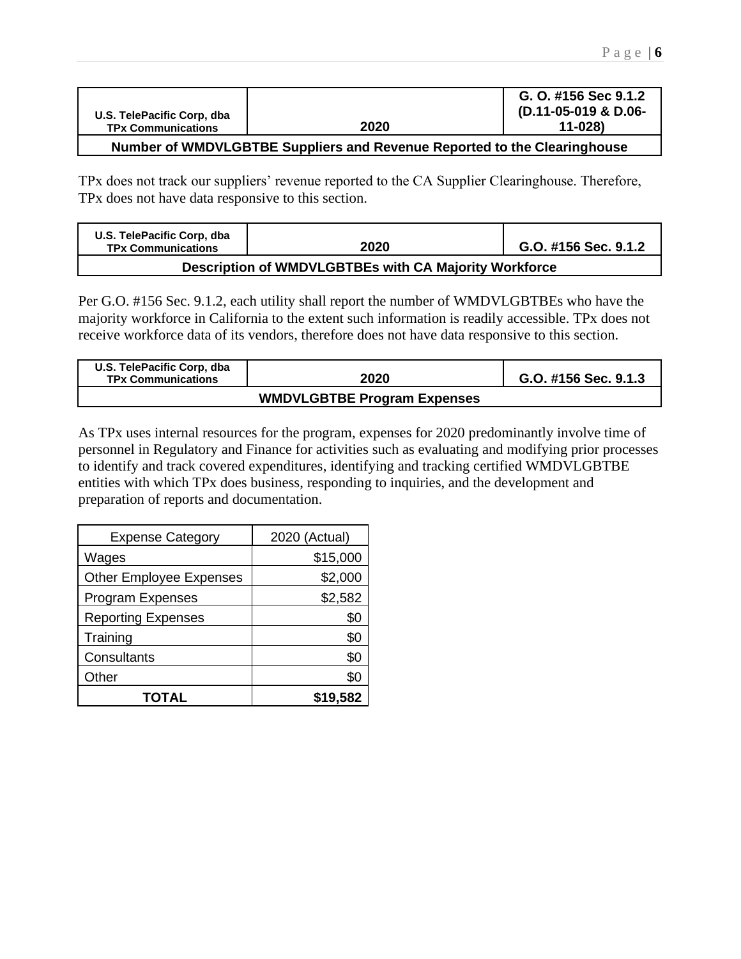| U.S. TelePacific Corp. dba                                                 |      | G. O. #156 Sec 9.1.2<br>(D.11-05-019 & D.06- |  |  |  |  |  |  |
|----------------------------------------------------------------------------|------|----------------------------------------------|--|--|--|--|--|--|
| <b>TPx Communications</b>                                                  | 2020 | 11-028)                                      |  |  |  |  |  |  |
| Number of WIMDVI CDTDE Cuppliers and Dovanus Departed to the Clearinghouse |      |                                              |  |  |  |  |  |  |

### **Number of WMDVLGBTBE Suppliers and Revenue Reported to the Clearinghouse**

TPx does not track our suppliers' revenue reported to the CA Supplier Clearinghouse. Therefore, TPx does not have data responsive to this section.

| U.S. TelePacific Corp, dba<br><b>TPx Communications</b> | 2020 | G.O. #156 Sec. 9.1.2 |  |  |  |  |  |  |  |  |
|---------------------------------------------------------|------|----------------------|--|--|--|--|--|--|--|--|
| Description of WMDVLGBTBEs with CA Majority Workforce   |      |                      |  |  |  |  |  |  |  |  |

Per G.O. #156 Sec. 9.1.2, each utility shall report the number of WMDVLGBTBEs who have the majority workforce in California to the extent such information is readily accessible. TPx does not receive workforce data of its vendors, therefore does not have data responsive to this section.

| U.S. TelePacific Corp. dba<br><b>TPx Communications</b> | 2020                               | G.O. #156 Sec. 9.1.3 |
|---------------------------------------------------------|------------------------------------|----------------------|
|                                                         | <b>WMDVLGBTBE Program Expenses</b> |                      |

As TPx uses internal resources for the program, expenses for 2020 predominantly involve time of personnel in Regulatory and Finance for activities such as evaluating and modifying prior processes to identify and track covered expenditures, identifying and tracking certified WMDVLGBTBE entities with which TPx does business, responding to inquiries, and the development and preparation of reports and documentation.

| <b>Expense Category</b>        | 2020 (Actual) |  |  |  |  |  |
|--------------------------------|---------------|--|--|--|--|--|
| Wages                          | \$15,000      |  |  |  |  |  |
| <b>Other Employee Expenses</b> | \$2,000       |  |  |  |  |  |
| <b>Program Expenses</b>        | \$2,582       |  |  |  |  |  |
| <b>Reporting Expenses</b>      | \$0           |  |  |  |  |  |
| Training                       | \$0           |  |  |  |  |  |
| Consultants                    | \$0           |  |  |  |  |  |
| Other                          | \$0           |  |  |  |  |  |
| TOTAL                          | \$19,582      |  |  |  |  |  |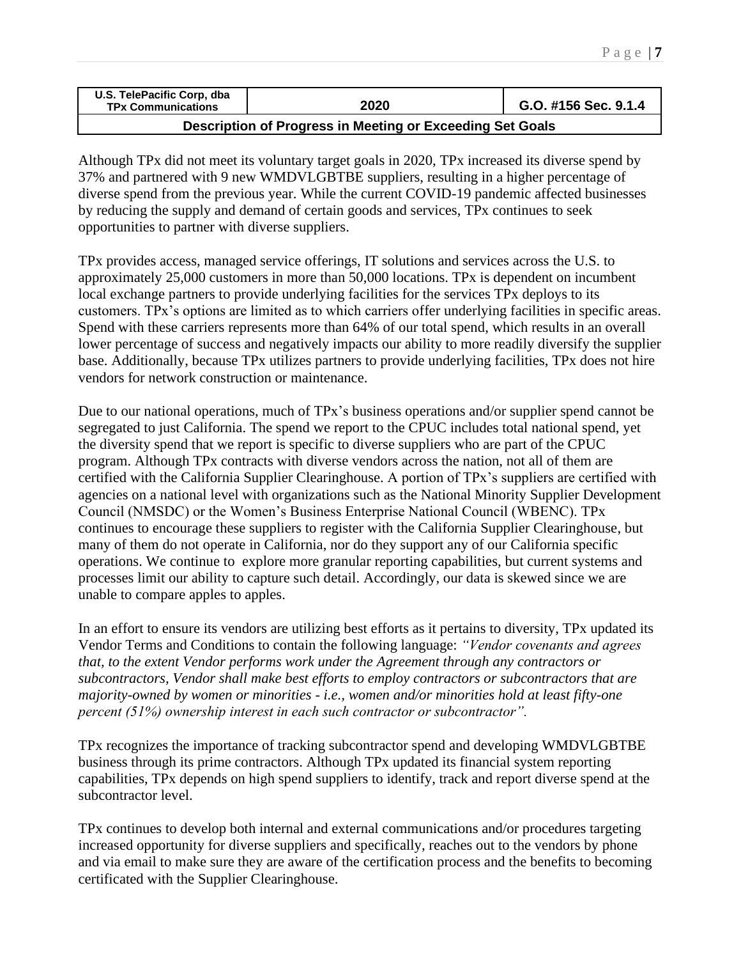| U.S. TelePacific Corp, dba<br><b>TPx Communications</b> | 2020 | G.O. #156 Sec. 9.1.4 |
|---------------------------------------------------------|------|----------------------|
|                                                         |      |                      |

## **Description of Progress in Meeting or Exceeding Set Goals**

Although TPx did not meet its voluntary target goals in 2020, TPx increased its diverse spend by 37% and partnered with 9 new WMDVLGBTBE suppliers, resulting in a higher percentage of diverse spend from the previous year. While the current COVID-19 pandemic affected businesses by reducing the supply and demand of certain goods and services, TPx continues to seek opportunities to partner with diverse suppliers.

TPx provides access, managed service offerings, IT solutions and services across the U.S. to approximately 25,000 customers in more than 50,000 locations. TPx is dependent on incumbent local exchange partners to provide underlying facilities for the services TPx deploys to its customers. TPx's options are limited as to which carriers offer underlying facilities in specific areas. Spend with these carriers represents more than 64% of our total spend, which results in an overall lower percentage of success and negatively impacts our ability to more readily diversify the supplier base. Additionally, because TPx utilizes partners to provide underlying facilities, TPx does not hire vendors for network construction or maintenance.

Due to our national operations, much of TPx's business operations and/or supplier spend cannot be segregated to just California. The spend we report to the CPUC includes total national spend, yet the diversity spend that we report is specific to diverse suppliers who are part of the CPUC program. Although TPx contracts with diverse vendors across the nation, not all of them are certified with the California Supplier Clearinghouse. A portion of TPx's suppliers are certified with agencies on a national level with organizations such as the National Minority Supplier Development Council (NMSDC) or the Women's Business Enterprise National Council (WBENC). TPx continues to encourage these suppliers to register with the California Supplier Clearinghouse, but many of them do not operate in California, nor do they support any of our California specific operations. We continue to explore more granular reporting capabilities, but current systems and processes limit our ability to capture such detail. Accordingly, our data is skewed since we are unable to compare apples to apples.

In an effort to ensure its vendors are utilizing best efforts as it pertains to diversity, TPx updated its Vendor Terms and Conditions to contain the following language: *"Vendor covenants and agrees that, to the extent Vendor performs work under the Agreement through any contractors or subcontractors, Vendor shall make best efforts to employ contractors or subcontractors that are majority-owned by women or minorities - i.e., women and/or minorities hold at least fifty-one percent (51%) ownership interest in each such contractor or subcontractor".*

TPx recognizes the importance of tracking subcontractor spend and developing WMDVLGBTBE business through its prime contractors. Although TPx updated its financial system reporting capabilities, TPx depends on high spend suppliers to identify, track and report diverse spend at the subcontractor level.

TPx continues to develop both internal and external communications and/or procedures targeting increased opportunity for diverse suppliers and specifically, reaches out to the vendors by phone and via email to make sure they are aware of the certification process and the benefits to becoming certificated with the Supplier Clearinghouse.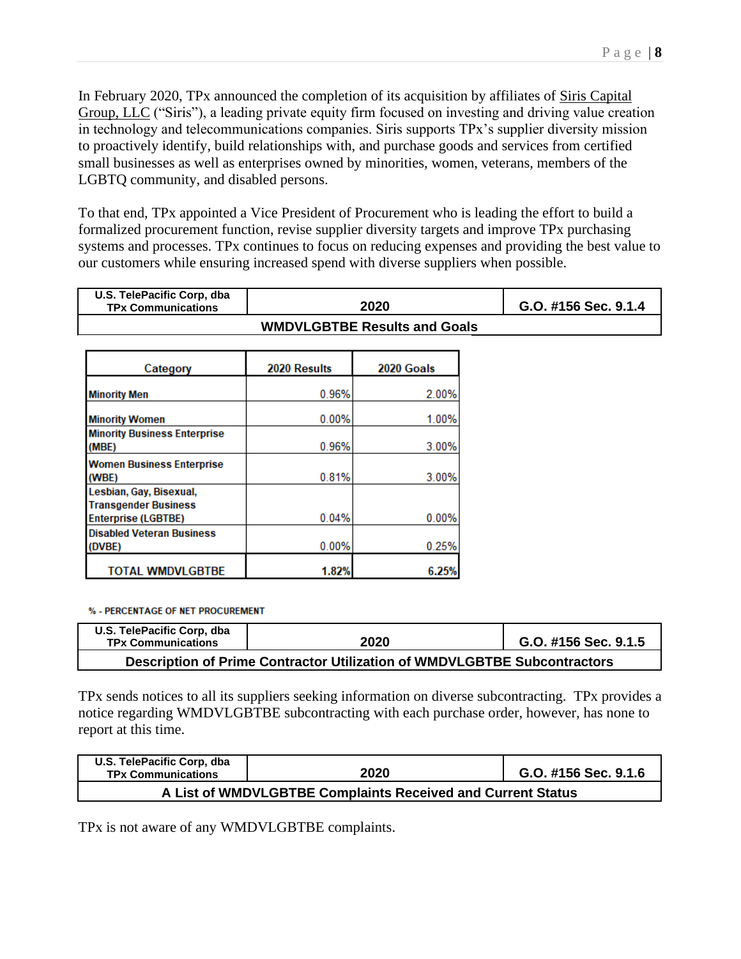In February 2020, TPx announced the completion of its acquisition by affiliates of Siris [Capital](https://siris.com/) [Group,](https://siris.com/) LLC ("Siris"), a leading private equity firm focused on investing and driving value creation in technology and telecommunications companies. Siris supports TPx's supplier diversity mission to proactively identify, build relationships with, and purchase goods and services from certified small businesses as well as enterprises owned by minorities, women, veterans, members of the LGBTQ community, and disabled persons.

To that end, TPx appointed a Vice President of Procurement who is leading the effort to build a formalized procurement function, revise supplier diversity targets and improve TPx purchasing systems and processes. TPx continues to focus on reducing expenses and providing the best value to our customers while ensuring increased spend with diverse suppliers when possible.

| U.S. TelePacific Corp, dba<br><b>TPx Communications</b> | 2020                                | G.O. #156 Sec. 9.1.4 |  |  |
|---------------------------------------------------------|-------------------------------------|----------------------|--|--|
|                                                         | <b>WMDVLGBTBE Results and Goals</b> |                      |  |  |

| Category                                               | 2020 Results | 2020 Goals |
|--------------------------------------------------------|--------------|------------|
| <b>Minority Men</b>                                    | 0.96%        | 2.00%      |
| <b>Minority Women</b>                                  | 0.00%        | 1.00%      |
| <b>Minority Business Enterprise</b><br>(MBE)           | 0.96%        | 3.00%      |
| <b>Women Business Enterprise</b><br>(WBE)              | 0.81%        | 3.00%      |
| Lesbian, Gay, Bisexual,<br><b>Transgender Business</b> |              |            |
| <b>Enterprise (LGBTBE)</b>                             | 0.04%        | 0.00%      |
| <b>Disabled Veteran Business</b><br>(DVBE)             | 0.00%        | 0.25%      |
| <b>TOTAL WMDVLGBTBE</b>                                | 1.82%        | 6.25%      |

% - PERCENTAGE OF NET PROCUREMENT

| U.S. TelePacific Corp, dba<br><b>TPx Communications</b>                  | 2020 | G.O. #156 Sec. 9.1.5 |  |  |  |
|--------------------------------------------------------------------------|------|----------------------|--|--|--|
| Description of Prime Contractor Utilization of WMDVLGBTBE Subcontractors |      |                      |  |  |  |

TPx sends notices to all its suppliers seeking information on diverse subcontracting. TPx provides a notice regarding WMDVLGBTBE subcontracting with each purchase order, however, has none to report at this time.

| U.S. TelePacific Corp, dba<br><b>TPx Communications</b>     | 2020 | G.O. #156 Sec. 9.1.6 |  |  |  |
|-------------------------------------------------------------|------|----------------------|--|--|--|
| A List of WMDVLGBTBE Complaints Received and Current Status |      |                      |  |  |  |

TPx is not aware of any WMDVLGBTBE complaints.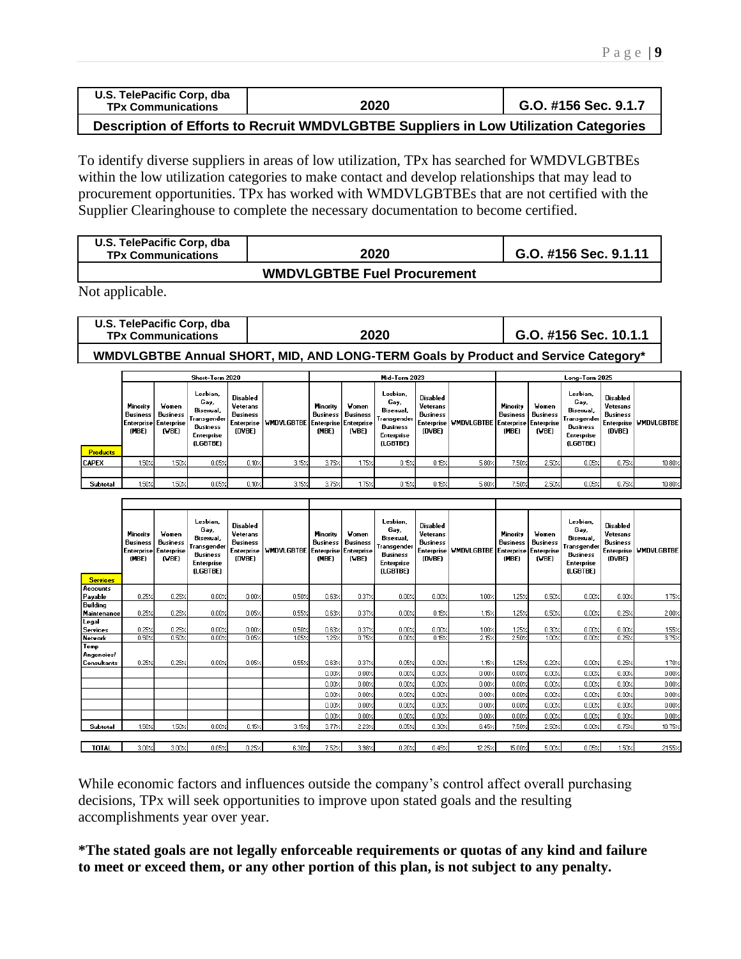| U.S. TelePacific Corp, dba<br><b>TPx Communications</b> | 2020         | G.O. #156 Sec. 9.1.7 |
|---------------------------------------------------------|--------------|----------------------|
|                                                         | . <i>. .</i> | .                    |

**Description of Efforts to Recruit WMDVLGBTBE Suppliers in Low Utilization Categories**

To identify diverse suppliers in areas of low utilization, TPx has searched for WMDVLGBTBEs within the low utilization categories to make contact and develop relationships that may lead to procurement opportunities. TPx has worked with WMDVLGBTBEs that are not certified with the Supplier Clearinghouse to complete the necessary documentation to become certified.

| U.S. TelePacific Corp, dba<br><b>TPx Communications</b> | 2020     | G.O. #156 Sec. 9.1.11 |
|---------------------------------------------------------|----------|-----------------------|
|                                                         | <i>.</i> |                       |

#### **WMDVLGBTBE Fuel Procurement**

Not applicable.

| U.S. TelePacific Corp, dba<br><b>TPx Communications</b> | 2020 | G.O. #156 Sec. 10.1.1 |
|---------------------------------------------------------|------|-----------------------|
|                                                         |      |                       |

**WMDVLGBTBE Annual SHORT, MID, AND LONG-TERM Goals by Product and Service Category\***

|                 | Short-Term 2020                                        |                            |                                                                                                    |                                                                 |                   | Mid-Term 2023                                          |                            |                                                                                                  |                                                   | Long-Term 2025                                    |                               |                                   |                                                                                             |                                                   |                         |
|-----------------|--------------------------------------------------------|----------------------------|----------------------------------------------------------------------------------------------------|-----------------------------------------------------------------|-------------------|--------------------------------------------------------|----------------------------|--------------------------------------------------------------------------------------------------|---------------------------------------------------|---------------------------------------------------|-------------------------------|-----------------------------------|---------------------------------------------------------------------------------------------|---------------------------------------------------|-------------------------|
|                 | Minority<br>Business<br>Enterprise Enterprise<br>(MBE) | Women<br>Business<br>(VBE) | Lesbian,<br>Gay,<br>Bisexual,<br>:Transgender!<br><b>Business</b><br><b>Enterprise</b><br>(LGBTBE) | Disabled<br>Veterans<br><b>Business</b><br>Enterprise<br>(DVBE) | <b>WMDVLGBTBE</b> | Minority<br>Business<br>Enterprise Enterprise<br>(MBE) | Women<br>Business<br>(VBE) | Lesbian,<br>Gay,<br>Bisexual,<br><b>Transgender</b><br><b>Business</b><br>Enterprise<br>(LGBTBE) | Disabled<br>Veterans<br><b>Business</b><br>(DVBE) | Enterprise   WMDVLGBTBE   Enterprise   Enterprise | Minority<br>Business<br>(MBE) | <b>Women</b><br>Business<br>(VBE) | Lesbian,<br>Gay,<br>Bisexual.<br>Transgender I<br>Business<br><b>Enterprise</b><br>(LGBTBE) | Disabled<br>Veterans<br><b>Business</b><br>(DVBE) | Enterprise   WMDVLGBTBE |
| <b>Products</b> |                                                        |                            |                                                                                                    |                                                                 |                   |                                                        |                            |                                                                                                  |                                                   |                                                   |                               |                                   |                                                                                             |                                                   |                         |
| <b>CAPEX</b>    | 1.50%                                                  | 1.50%                      | 0.05%                                                                                              | 0.10%                                                           | 3.15%             | 3.75%                                                  | 1.75%                      | $0.15 \times$                                                                                    | 0.15%                                             | 5.80%                                             | 7.50%                         | 2.50%                             | 0.05%                                                                                       | 0.75%                                             | 10.80%                  |
|                 |                                                        |                            |                                                                                                    |                                                                 |                   |                                                        |                            |                                                                                                  |                                                   |                                                   |                               |                                   |                                                                                             |                                                   |                         |
| Subtotal        | 1.50%                                                  | 1.50%                      | 0.05%                                                                                              | 0.10%                                                           | 3.15%             | 3.75%                                                  | 1.75%                      | $0.15\times$                                                                                     | 0.15%                                             | 5.80%                                             | 7.50%                         | 2.50%                             | $0.05$ %                                                                                    | 0.75%                                             | $10.80\times$           |

| <b>Services</b>                  | Minority<br><b>Business</b><br><b>Enterprise</b><br>(MBE) | Women<br><b>Business</b><br><b>Enterprise</b><br>(VBE) | Lesbian.<br>Gay,<br>Bisexual,<br>Transgender<br><b>Business</b><br><b>Enterprise</b><br>(LGBTBE) | <b>Disabled</b><br>Veterans<br><b>Business</b><br><b>Enterprise</b><br>(DVBE) | <b>WHOVLGBTBE</b> | Minority<br><b>Business</b><br>(MBE) | Women<br><b>Business</b><br>Enterprise Enterprise<br>(VBE) | Lesbian.<br>Gay,<br>Bisexual,<br>Transgender<br><b>Business</b><br><b>Enterprise</b><br><b>(LGBTBE)</b> | <b>Disabled</b><br>Veterans<br><b>Business</b><br><b>Enterprise</b><br>(DVBE) | <b>WMDVLGBTBE</b> | Minority<br><b>Business</b><br>(MBE) | Women<br><b>Business</b><br>Enterprise Enterprise<br>(VBE) | Lesbian,<br>Gay,<br>Bisexual,<br>Transgender<br>Business<br><b>Enterprise</b><br>(LGBTBE) | <b>Disabled</b><br>Veterans<br><b>Business</b><br>(DVBE) | Enterprise WMDVLGBTBE |
|----------------------------------|-----------------------------------------------------------|--------------------------------------------------------|--------------------------------------------------------------------------------------------------|-------------------------------------------------------------------------------|-------------------|--------------------------------------|------------------------------------------------------------|---------------------------------------------------------------------------------------------------------|-------------------------------------------------------------------------------|-------------------|--------------------------------------|------------------------------------------------------------|-------------------------------------------------------------------------------------------|----------------------------------------------------------|-----------------------|
| Accounts                         |                                                           |                                                        |                                                                                                  |                                                                               |                   |                                      |                                                            |                                                                                                         |                                                                               |                   |                                      |                                                            |                                                                                           |                                                          |                       |
| Payable                          | 0.25%                                                     | 0.25/                                                  | 0.00%                                                                                            | 0.00%                                                                         | 0.50%             | 0.63/                                | 0.372                                                      | 0.00%                                                                                                   | 0.00%                                                                         | $1.00\%$          | 1.25%                                | 0.50%                                                      | 0.00%                                                                                     | 0.00%                                                    | 1.75%                 |
| Building<br>Maintenance          | 0.25%                                                     | 0.257                                                  | 0.00%                                                                                            | $0.05\%$                                                                      | 0.55%             | 0.63%                                | 0.372                                                      | 0.00%                                                                                                   | 0.15%                                                                         | $1.15\times$      | 1.25%                                | 0.50%                                                      | 0.00%                                                                                     | 0.25%                                                    | 2.00%                 |
| Legal<br><b>Services</b>         | 0.25%                                                     | 0.25/                                                  | 0.002                                                                                            | 0.00%                                                                         | 0.50%             | 0.63%                                | $0.37\times$                                               | 0.00%                                                                                                   | 0.00%                                                                         | $1.00\%$          | 1.25%                                | 0.30%                                                      | 0.00%                                                                                     | 0.00%                                                    | 1.55%                 |
| <b>Network</b>                   | 0.50%                                                     | 0.50<                                                  | 0.00%                                                                                            | 0.05%                                                                         | 105 <sub>7</sub>  | 1.25%                                | 0.75%                                                      | 0.00%                                                                                                   | 0.157                                                                         | 2.15%             | 2.50%                                | 100 <sub>7</sub>                                           | 0.00%                                                                                     | 0.25%                                                    | 3.75%                 |
| Temp<br>Angencies<br>Consultants | 0.25%                                                     | 0.25/                                                  | 0.00%                                                                                            | 0.05%                                                                         | 0.55%             | 0.63%                                | 0.37%                                                      | 0.05%                                                                                                   | 0.00%                                                                         | 1.15%             | 1.25%                                | 0.20%                                                      | 0.00%                                                                                     | 0.25%                                                    | 1.70%                 |
|                                  |                                                           |                                                        |                                                                                                  |                                                                               |                   | 0.00%                                | 0.00%                                                      | 0.00%                                                                                                   | 0.00%                                                                         | 0.00%             | 0.00%                                | 0.00%                                                      | 0.00%                                                                                     | 0.00%                                                    | 0.00%                 |
|                                  |                                                           |                                                        |                                                                                                  |                                                                               |                   | 0.00%                                | 0.00%                                                      | 0.00%                                                                                                   | 0.00%                                                                         | 0.00%             | 0.00%                                | 0.00%                                                      | 0.00%                                                                                     | 0.00%                                                    | 0.00%                 |
|                                  |                                                           |                                                        |                                                                                                  |                                                                               |                   | 0.00%                                | 0.00%                                                      | 0.00%                                                                                                   | 0.00%                                                                         | 0.00%             | 0.00%                                | 0.00%                                                      | 0.00%                                                                                     | 0.00%                                                    | 0.00%                 |
|                                  |                                                           |                                                        |                                                                                                  |                                                                               |                   | 0.002                                | 0.00%                                                      | 0.00%                                                                                                   | 0.00%                                                                         | 0.00%             | 0.00%                                | 0.00%                                                      | 0.00%                                                                                     | 0.00%                                                    | 0.00%                 |
|                                  |                                                           |                                                        |                                                                                                  |                                                                               |                   | 0.00%                                | 0.00%                                                      | 0.00%                                                                                                   | 0.00%                                                                         | 0.00%             | 0.00%                                | 0.00%                                                      | 0.00%                                                                                     | 0.00%                                                    | 0.00%                 |
| Subtotal                         | 1.50%                                                     | 1.50%                                                  | 0.00%                                                                                            | 0.15%                                                                         | 3.15%             | 3.77%                                | 2.23%                                                      | 0.05%                                                                                                   | 0.30%                                                                         | 6.45%             | 7.50%                                | 2.50%                                                      | 0.00%                                                                                     | $0.75$ %                                                 | $10.75\times$         |
|                                  |                                                           |                                                        |                                                                                                  |                                                                               |                   |                                      |                                                            |                                                                                                         |                                                                               |                   |                                      |                                                            |                                                                                           |                                                          |                       |
| <b>TOTAL</b>                     | $3.00$ $\times$                                           | 3.00%                                                  | 0.05%                                                                                            | 0.25%                                                                         | 6.30%             | 7.52%                                | 3.98 <sub>7</sub>                                          | 0.20%                                                                                                   | 0.45%                                                                         | 12.25%            | 15.00%                               | 5.00%                                                      | 0.05%                                                                                     | 150Z                                                     | 21.55%                |

While economic factors and influences outside the company's control affect overall purchasing decisions, TPx will seek opportunities to improve upon stated goals and the resulting accomplishments year over year.

**\*The stated goals are not legally enforceable requirements or quotas of any kind and failure to meet or exceed them, or any other portion of this plan, is not subject to any penalty.**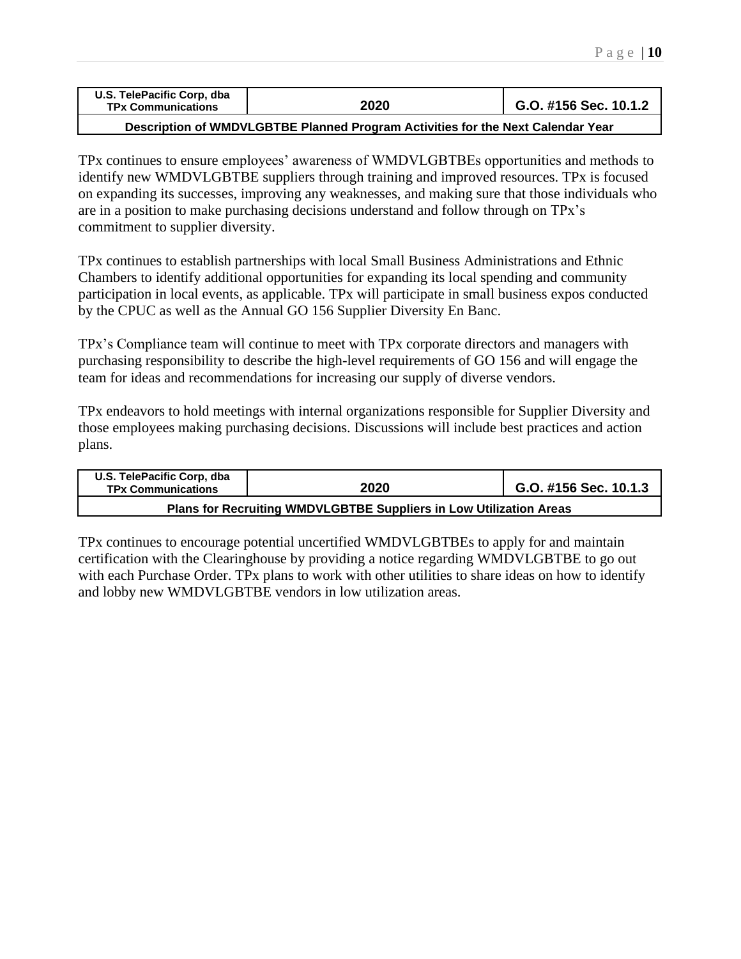| U.S. TelePacific Corp, dba<br><b>TPx Communications</b> | 2020 | G.O. #156 Sec. 10.1.2 |
|---------------------------------------------------------|------|-----------------------|
|                                                         |      |                       |

**Description of WMDVLGBTBE Planned Program Activities for the Next Calendar Year**

TPx continues to ensure employees' awareness of WMDVLGBTBEs opportunities and methods to identify new WMDVLGBTBE suppliers through training and improved resources. TPx is focused on expanding its successes, improving any weaknesses, and making sure that those individuals who are in a position to make purchasing decisions understand and follow through on TPx's commitment to supplier diversity.

TPx continues to establish partnerships with local Small Business Administrations and Ethnic Chambers to identify additional opportunities for expanding its local spending and community participation in local events, as applicable. TPx will participate in small business expos conducted by the CPUC as well as the Annual GO 156 Supplier Diversity En Banc.

TPx's Compliance team will continue to meet with TPx corporate directors and managers with purchasing responsibility to describe the high-level requirements of GO 156 and will engage the team for ideas and recommendations for increasing our supply of diverse vendors.

TPx endeavors to hold meetings with internal organizations responsible for Supplier Diversity and those employees making purchasing decisions. Discussions will include best practices and action plans.

| U.S. TelePacific Corp. dba<br><b>TPx Communications</b>            | 2020 | G.O. #156 Sec. 10.1.3 |  |  |
|--------------------------------------------------------------------|------|-----------------------|--|--|
| Plans for Recruiting WMDVLGBTBE Suppliers in Low Utilization Areas |      |                       |  |  |

TPx continues to encourage potential uncertified WMDVLGBTBEs to apply for and maintain certification with the Clearinghouse by providing a notice regarding WMDVLGBTBE to go out with each Purchase Order. TPx plans to work with other utilities to share ideas on how to identify and lobby new WMDVLGBTBE vendors in low utilization areas.